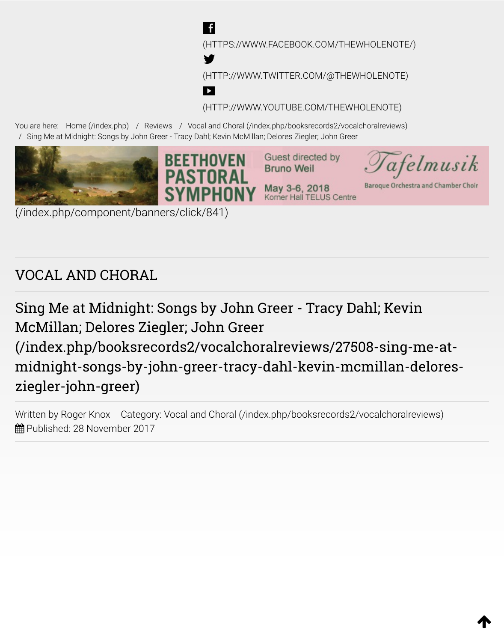[\(HTTPS://WWW.FACEBOOK.COM/THEWHOLENOTE/\)](https://www.facebook.com/TheWholeNote/)

[\(HTTP://WWW.TWITTER.COM/@THEWHOLENOTE\)](http://www.twitter.com/@thewholenote)

[\(HTTP://WWW.YOUTUBE.COM/THEWHOLENOTE\)](http://www.youtube.com/thewholenote)

1

You are here: [Home \(/index.php\)](https://www.thewholenote.com/index.php) / Reviews / [Vocal and Choral \(/index.php/booksrecords2/vocalchoralreviews\)](https://www.thewholenote.com/index.php/booksrecords2/vocalchoralreviews) / Sing Me at Midnight: Songs by John Greer - Tracy Dahl; Kevin McMillan; Delores Ziegler; John Greer

**.f** 

**Y** 

 $\blacktriangleright$ 



[\(/index.php/component/banners/click/841\)](https://www.thewholenote.com/index.php/component/banners/click/841)

# VOCAL AND CHORAL

Sing Me at Midnight: Songs by John Greer - Tracy Dahl; Kevin McMillan; Delores Ziegler; John Greer (/index.php/booksrecords2/vocalchoralreviews/27508-sing-me-at[midnight-songs-by-john-greer-tracy-dahl-kevin-mcmillan-delores](https://www.thewholenote.com/index.php/booksrecords2/vocalchoralreviews/27508-sing-me-at-midnight-songs-by-john-greer-tracy-dahl-kevin-mcmillan-delores-ziegler-john-greer)ziegler-john-greer)

Written by Roger Knox Category: [Vocal and Choral \(/index.php/booksrecords2/vocalchoralreviews\)](https://www.thewholenote.com/index.php/booksrecords2/vocalchoralreviews)  $\hat{m}$  Published: 28 November 2017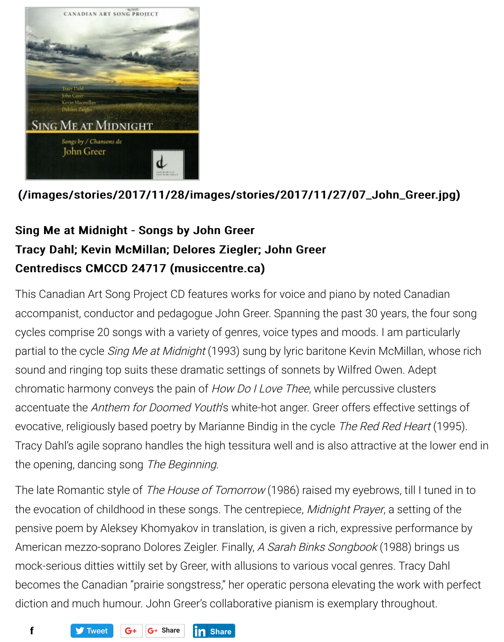

## [\(/images/stories/2017/11/28/images/stories/2017/11/27/07\\_John\\_Greer.jpg\)](https://www.thewholenote.com/images/stories/2017/11/28/images/stories/2017/11/27/07_John_Greer.jpg) (/images/stories/2017/11/28/images/stories/2017/11/27/07\_John\_Greer.jpg)

# Sing Me at Midnight - Songs by John Greer Tracy Dahl; Kevin McMillan; Delores Ziegler; John Greer Centrediscs CMCCD 24717 (musiccentre.ca)

This Canadian Art Song Project CD features works for voice and piano by noted Canadian accompanist, conductor and pedagogue John Greer. Spanning the past 30 years, the four song cycles comprise 20 songs with a variety of genres, voice types and moods. I am particularly partial to the cycle Sing Me at Midnight (1993) sung by lyric baritone Kevin McMillan, whose rich sound and ringing top suits these dramatic settings of sonnets by Wilfred Owen. Adept chromatic harmony conveys the pain of How Do I Love Thee, while percussive clusters accentuate the Anthem for Doomed Youth's white-hot anger. Greer offers effective settings of evocative, religiously based poetry by Marianne Bindig in the cycle The Red Red Heart (1995). Tracy Dahl's agile soprano handles the high tessitura well and is also attractive at the lower end in the opening, dancing song The Beginning.

The late Romantic style of The House of Tomorrow (1986) raised my eyebrows, till I tuned in to the evocation of childhood in these songs. The centrepiece, Midnight Prayer, a setting of the pensive poem by Aleksey Khomyakov in translation, is given a rich, expressive performance by American mezzo-soprano Dolores Zeigler. Finally, A Sarah Binks Songbook (1988) brings us mock-serious ditties wittily set by Greer, with allusions to various vocal genres. Tracy Dahl becomes the Canadian "prairie songstress," her operatic persona elevating the work with perfect diction and much humour. John Greer's collaborative pianism is exemplary throughout.

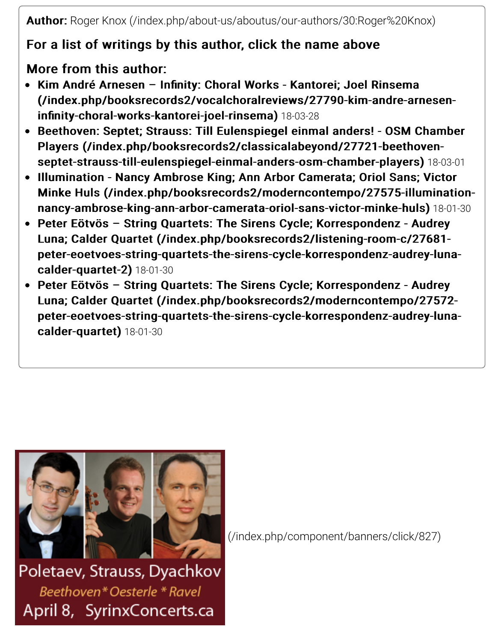Author: Author: [Roger Knox \(/index.php/about-us/aboutus/our-authors/30:Roger%20Knox\)](https://www.thewholenote.com/index.php/about-us/aboutus/our-authors/30:Roger%20Knox)

## For a list of writings by this author, click the name above

More from this author:

- Kim André Arnesen Infinity: Choral Works Kantorei; Joel Rinsema [\(/index.php/booksrecords2/vocalchoralreviews/27790-kim-andre-arnesen-](https://www.thewholenote.com/index.php/booksrecords2/vocalchoralreviews/27790-kim-andre-arnesen-infinity-choral-works-kantorei-joel-rinsema) (/index.php/booksrecords2/vocalchoralreviews/27790-kim-andre-arneseninfinity-choral-works-kantorei-joel-rinsema) 18-03-28
- [Beethoven: Septet; Strauss: Till Eulenspiegel einmal anders! OSM Chamber](https://www.thewholenote.com/index.php/booksrecords2/classicalabeyond/27721-beethoven-septet-strauss-till-eulenspiegel-einmal-anders-osm-chamber-players) Players (/index.php/booksrecords2/classicalabeyond/27721-beethovenseptet-strauss-till-eulenspiegel-einmal-anders-osm-chamber-players) 18-03-01
- Illumination Nancy Ambrose King; Ann Arbor Camerata; Oriol Sans; Victor Minke Huls (/index.php/booksrecords2/moderncontempo/27575-illuminationnancy-ambrose-king-ann-arbor-camerata-oriol-sans-victor-minke-huls) 18-01-30
- Peter Eötvös String Quartets: The Sirens Cycle; Korrespondenz Audrey Luna; Calder Quartet (/index.php/booksrecords2/listening-room-c/27681[peter-eoetvoes-string-quartets-the-sirens-cycle-korrespondenz-audrey-luna-](https://www.thewholenote.com/index.php/booksrecords2/listening-room-c/27681-peter-eoetvoes-string-quartets-the-sirens-cycle-korrespondenz-audrey-luna-calder-quartet-2) peter-eoetvoes-string-quartets-the-sirens-cycle-korrespondenz-audrey-lunacalder-quartet-2) 18-01-30
- Peter Eötvös String Quartets: The Sirens Cycle; Korrespondenz Audrey Luna; Calder Quartet (/index.php/booksrecords2/moderncontempo/27572[peter-eoetvoes-string-quartets-the-sirens-cycle-korrespondenz-audrey-luna-](https://www.thewholenote.com/index.php/booksrecords2/moderncontempo/27572-peter-eoetvoes-string-quartets-the-sirens-cycle-korrespondenz-audrey-luna-calder-quartet) peter-eoetvoes-string-quartets-the-sirens-cycle-korrespondenz-audrey-lunacalder-quartet) 18-01-30



[\(/index.php/component/banners/click/827\)](https://www.thewholenote.com/index.php/component/banners/click/827)

Poletaev, Strauss, Dyachkov Beethoven\*Oesterle \* Ravel April 8, SyrinxConcerts.ca